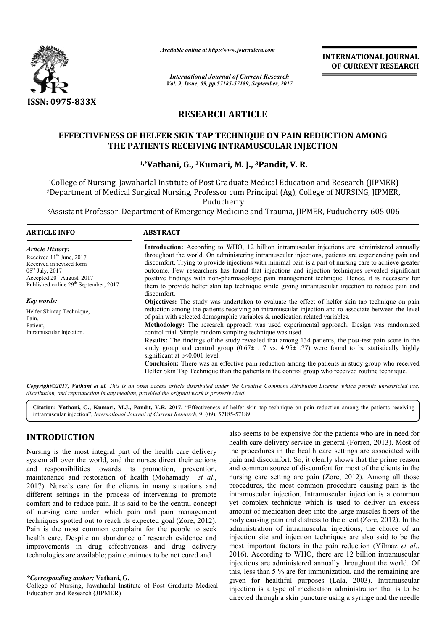

*Available online at http://www.journal http://www.journalcra.com*

*International Journal of Current Research Vol. 9, Issue, 09, pp.57185-57189, September, 2017* **INTERNATIONAL JOURNAL OF CURRENT RESEARCH** 

# **RESEARCH ARTICLE**

# **EFFECTIVENESS OF HELFER SKIN TAP TECHNIQUE ON PAIN REDUCTION AMONG THE PATIENTS RECEIVING INTRAMUSCULAR INJECTION**

## **1,\*Vathani, G., Vathani, 2Kumari, M. J., 3Pandit, V. R.**

1College of Nursing, Jawaharlal Institute of Post Graduate Medical Education and Research (JIPMER) 2Department of Medical Surgical Nursing, Professor cum Principal (Ag), College of NURSING, JIPMER, Department Puducherry 'College of Nursing, Jawaharlal Institute of Post Graduate Medical Education and Research (JIPMER)<br>Department of Medical Surgical Nursing, Professor cum Principal (Ag), College of NURSING, JIPMER

<sup>3</sup>Assistant Professor, Department of Emergency Medicine and Trauma, JIPMER, Puducherry-605 006

#### **ARTICLE INFO ABSTRACT**

*Article History:* Received  $11<sup>th</sup>$  June, 2017 Received in revised form  $08^{th}$  July, 2017 Accepted 20<sup>th</sup> August, 2017 Published online  $29<sup>th</sup>$  September, 2017

*Key words:* Helfer Skintap Technique, Pain, Patient, Intramuscular Injection.

**Introduction:** According to WHO, 12 billion intramuscular injections are administered annually Introduction: According to WHO, 12 billion intramuscular injections are administered annually throughout the world. On administering intramuscular injections, patients are experiencing pain and discomfort discomfort. Trying to provide injections with minimal pain is a part of nursing care to achieve greater outcome. Few researchers has found that injections and injection techniques revealed significant discomfort. Trying to provide injections with minimal pain is a part of nursing care to achieve greater outcome. Few researchers has found that injections and injection techniques revealed significant positive findings wit them to provide helfer skin tap technique while giving intramuscular injection to reduce pain and discomfort. **Objectives:** The study was undertaken to evaluate the effect of helfer skin tap technique on pain reduction among the patients receiving an intramuscular injection and to associate between the level of pain with selected demographic variables & medication related variables. them to provide helfer skin tap technique while giving intramuscular injection to reduce pain and discomfort.<br> **Objectives:** The study was undertaken to evaluate the effect of helfer skin tap technique on pain reduction am control trial. Simple random sampling technique was used. **Results:** The findings of the study revealed that among 134 patients, the post-test pain score in the

study group and control group  $(0.67\pm1.17 \text{ vs. } 4.95\pm1.77)$  were found to be statistically highly significant at p<0.001 level.

**Conclusion:** There was an effective pain reduction among the patients in study group who received Helfer Skin Tap Technique than the patients in the control group who received routine technique.

*Copyright©2017, Vathani et al. This is an open access article distributed under the Creative Commons Att Attribution License, which ribution permits unrestricted use, distribution, and reproduction in any medium, provided the original work is properly cited.*

Citation: Vathani, G., Kumari, M.J., Pandit, V.R. 2017. "Effectiveness of helfer skin tap technique on pain reduction among the patients receiving intramuscular injection", *International Journal of Current Research* , 9, (09), 57185-57189.

# **INTRODUCTION**

Nursing is the most integral part of the health care delivery system all over the world, and the nurses direct their actions and responsibilities towards its promotion, prevention, maintenance and restoration of health (Mohamady et al., 2017). Nurse's care for the clients in many situations and different settings in the process of intervening to promote comfort and to reduce pain. It is said to be the central concept 2017). Nurse's care for the clients in many situations and different settings in the process of intervening to promote comfort and to reduce pain. It is said to be the central concept of nursing care under which pain and p techniques spotted out to reach its expected goal (Zore, 2012). Pain is the most common complaint for the people to seek health care. Despite an abundance of research evidence and improvements in drug effectiveness and drug delivery technologies are available; pain continues to be not cured and **INTRODUCTION**<br>
Wursing is the most integral part of the health care delivery whe procedures in the health care division<br>
health care delivery the procedures in the health care delivery<br>
the procedures in the health care s

College of Nursing, Jawaharlal Institute of Post Graduate Medical Education and Research (JIPMER)

health care delivery service in general (Forren, 2013). Most of the procedures in the health care settings are associated with pain and discomfort. So, it clearly shows that the prime reason and common source of discomfort for most of the clients nursing care setting are pain (Zore, 2012). Among all those procedures, the most common procedure causing pain is the intramuscular injection. Intramuscular injection is a common yet complex technique which is used to deliver an excess amount of medication deep into the large muscles fibers of the procedures, the most common procedure causing pain is the intramuscular injection. Intramuscular injection is a common yet complex technique which is used to deliver an excess amount of medication deep into the large muscl administration of intramuscular injections, the choice of an administration of intramuscular injections, the choice of an injection site and injection techniques are also said to be the most important factors in the pain reduction (Yilmaz *et al*., 2016). According to WHO, there are 12 billion intramuscular injections are administered annually throughout the world. Of this, less than 5 % are for immunization, and the remaining are this, less than 5 % are for immunization, and the remaining are given for healthful purposes (Lala, 2003). Intramuscular injection is a type of medication administration that is to be directed through a skin puncture using a syringe and the needle also seems to be expensive for the patients who are in need for procedures in the health care settings are associated with<br>and discomfort. So, it clearly shows that the prime reason<br>common source of discomfort for most of the clients in the **INTERNATIONAL JOURNAL CONSULTION ISSUE CONSULTION (CONTROL) CONSULTION (FOR THE SECTION ARRY CONSULTION ARRY CONSULTION ARRY CONSULTION AND CONSULTION ARRY CONSULTION (MATHEMATICLE CHANGE CONSULTION (MATHEMATICLE CHANGE** 

*<sup>\*</sup>Corresponding author:* **Vathani, G.**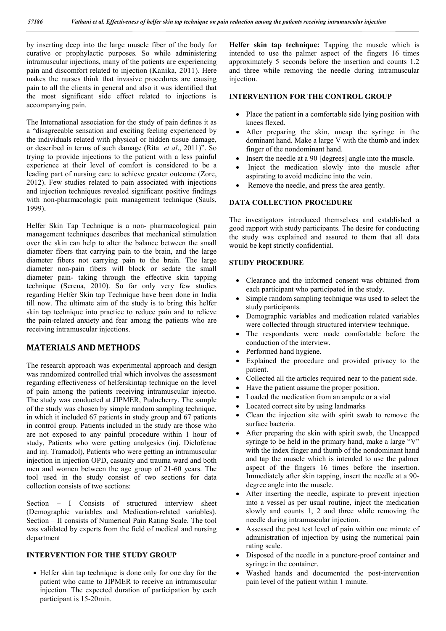by inserting deep into the large muscle fiber of the body for curative or prophylactic purposes. So while administering intramuscular injections, many of the patients are experiencing pain and discomfort related to injection (Kanika, 2011). Here makes the nurses think that invasive procedures are causing pain to all the clients in general and also it was identified that the most significant side effect related to injections is accompanying pain.

The International association for the study of pain defines it as a "disagreeable sensation and exciting feeling experienced by the individuals related with physical or hidden tissue damage, or described in terms of such damage (Rita *et al*., 2011)". So trying to provide injections to the patient with a less painful experience at their level of comfort is considered to be a leading part of nursing care to achieve greater outcome (Zore, 2012). Few studies related to pain associated with injections and injection techniques revealed significant positive findings with non-pharmacologic pain management technique (Sauls, 1999).

Helfer Skin Tap Technique is a non- pharmacological pain management techniques describes that mechanical stimulation over the skin can help to alter the balance between the small diameter fibers that carrying pain to the brain, and the large diameter fibers not carrying pain to the brain. The large diameter non-pain fibers will block or sedate the small diameter pain- taking through the effective skin tapping technique (Serena, 2010). So far only very few studies regarding Helfer Skin tap Technique have been done in India till now. The ultimate aim of the study is to bring this helfer skin tap technique into practice to reduce pain and to relieve the pain-related anxiety and fear among the patients who are receiving intramuscular injections.

## **MATERIALS AND METHODS**

The research approach was experimental approach and design was randomized controlled trial which involves the assessment regarding effectiveness of helferskintap technique on the level of pain among the patients receiving intramuscular injectio. The study was conducted at JIPMER, Puducherry. The sample of the study was chosen by simple random sampling technique, in which it included 67 patients in study group and 67 patients in control group. Patients included in the study are those who are not exposed to any painful procedure within 1 hour of study, Patients who were getting analgesics (inj. Diclofenac and inj. Tramadol), Patients who were getting an intramuscular injection in injection OPD, casualty and trauma ward and both men and women between the age group of 21-60 years. The tool used in the study consist of two sections for data collection consists of two sections:

Section – I Consists of structured interview sheet (Demographic variables and Medication-related variables). Section – II consists of Numerical Pain Rating Scale. The tool was validated by experts from the field of medical and nursing department

### **INTERVENTION FOR THE STUDY GROUP**

• Helfer skin tap technique is done only for one day for the patient who came to JIPMER to receive an intramuscular injection. The expected duration of participation by each participant is 15-20min.

**Helfer skin tap technique:** Tapping the muscle which is intended to use the palmer aspect of the fingers 16 times approximately 5 seconds before the insertion and counts 1.2 and three while removing the needle during intramuscular injection.

## **INTERVENTION FOR THE CONTROL GROUP**

- Place the patient in a comfortable side lying position with knees flexed.
- After preparing the skin, uncap the syringe in the dominant hand. Make a large V with the thumb and index finger of the nondominant hand.
- Insert the needle at a 90 [degrees] angle into the muscle.
- Inject the medication slowly into the muscle after aspirating to avoid medicine into the vein.
- Remove the needle, and press the area gently.

## **DATA COLLECTION PROCEDURE**

The investigators introduced themselves and established a good rapport with study participants. The desire for conducting the study was explained and assured to them that all data would be kept strictly confidential.

## **STUDY PROCEDURE**

- Clearance and the informed consent was obtained from each participant who participated in the study.
- Simple random sampling technique was used to select the study participants.
- Demographic variables and medication related variables were collected through structured interview technique.
- The respondents were made comfortable before the conduction of the interview.
- Performed hand hygiene.
- Explained the procedure and provided privacy to the patient.
- Collected all the articles required near to the patient side.
- Have the patient assume the proper position.
- Loaded the medication from an ampule or a vial
- Located correct site by using landmarks
- Clean the injection site with spirit swab to remove the surface bacteria.
- After preparing the skin with spirit swab, the Uncapped syringe to be held in the primary hand, make a large "V" with the index finger and thumb of the nondominant hand and tap the muscle which is intended to use the palmer aspect of the fingers 16 times before the insertion. Immediately after skin tapping, insert the needle at a 90 degree angle into the muscle.
- After inserting the needle, aspirate to prevent injection into a vessel as per usual routine, inject the medication slowly and counts 1, 2 and three while removing the needle during intramuscular injection.
- Assessed the post test level of pain within one minute of administration of injection by using the numerical pain rating scale.
- Disposed of the needle in a puncture-proof container and syringe in the container.
- Washed hands and documented the post-intervention pain level of the patient within 1 minute.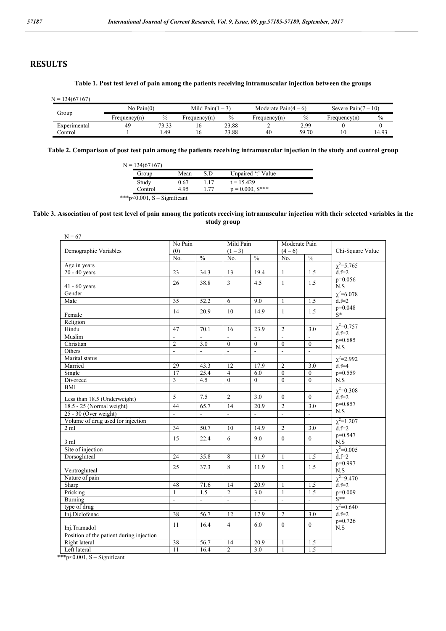# **RESULTS**

#### **Table 1. Post test level of pain among the patients receiving intramuscular injection between the groups**

| $N = 1$<br>$134(67+67)$ |                 |               |                     |       |                       |               |                      |       |
|-------------------------|-----------------|---------------|---------------------|-------|-----------------------|---------------|----------------------|-------|
|                         | $No$ Pain $(0)$ |               | Mild Pain $(1 – 3)$ |       | Moderate Pain $(4-6)$ |               | Severe Pain $(7-10)$ |       |
| Group                   | Frequency(n)    | $\frac{0}{0}$ | Frequency $(n)$     | $\%$  | Frequency(n)          | $\frac{0}{0}$ | Frequency $(n)$      | $\%$  |
| Experimental            | 49              | 73.33         | 1 C                 | 23.88 | ∼                     | 2.99          |                      |       |
| Control                 |                 | . 49          | 1 C                 | 23.88 | 40                    | 59.70         |                      | 14.93 |

**Table 2. Comparison of post test pain among the patients receiving intramuscular injection in the study and control group**

| S.D<br>Unpaired 't' Value<br>Mean<br>Group<br>Study<br>$t = 15.429$<br>0.67<br>$p = 0.000$ , $S^{***}$<br>. . 77<br>4.95<br>Control | $N = 134(67+67)$ |  |  |
|-------------------------------------------------------------------------------------------------------------------------------------|------------------|--|--|
|                                                                                                                                     |                  |  |  |
|                                                                                                                                     |                  |  |  |
|                                                                                                                                     |                  |  |  |

\*\*\*p<0.001, S – Significant

#### **Table 3. Association of post test level of pain among the patients receiving intramuscular injection with their selected variables in the study group**

| $N = 67$                                 |                |                  |                |                                    |                          |                    |                                  |  |
|------------------------------------------|----------------|------------------|----------------|------------------------------------|--------------------------|--------------------|----------------------------------|--|
|                                          | No Pain        |                  | Mild Pain      |                                    | Moderate Pain            |                    |                                  |  |
| Demographic Variables                    | (0)            |                  | $(1-3)$        |                                    | $(4-6)$                  |                    | Chi-Square Value                 |  |
|                                          | No.            | $\frac{0}{0}$    | No.            | $\frac{0}{0}$                      | No.                      | $\%$               |                                  |  |
| Age in years                             |                |                  |                |                                    |                          |                    | $\chi^2 = 5.765$                 |  |
| $20 - 40$ years                          | 23             | 34.3             | 13             | 19.4                               | $\mathbf{1}$             | 1.5                | $d.f = 2$                        |  |
|                                          | 26             | 38.8             | $\overline{3}$ | 4.5                                | $\mathbf{1}$             | 1.5                | $p=0.056$                        |  |
| $41 - 60$ years                          |                |                  |                |                                    |                          |                    | N.S                              |  |
| Gender                                   |                |                  |                |                                    |                          |                    | $\chi^2 = 6.078$                 |  |
| Male                                     | 35             | 52.2             | 6              | 9.0                                | $\mathbf{1}$             | 1.5                | $d.f=2$                          |  |
|                                          | 14             | 20.9             | 10             | 14.9                               | $\mathbf{1}$             | 1.5                | $p=0.048$                        |  |
| Female                                   |                |                  |                |                                    |                          |                    | $S^*$                            |  |
| Religion                                 |                |                  |                |                                    |                          |                    | $\chi^2 = 0.757$                 |  |
| Hindu                                    | 47             | 70.1             | 16             | 23.9                               | $\overline{2}$           | 3.0                | $d.f = 2$                        |  |
| Muslim                                   | $\overline{a}$ |                  |                | $\overline{\phantom{0}}$           | $\Box$                   | $\bar{\mathbf{z}}$ | $p=0.685$                        |  |
| Christian                                | $\overline{2}$ | 3.0              | $\mathbf{0}$   | $\theta$                           | $\theta$                 | $\theta$           | N.S                              |  |
| Others                                   | $\overline{a}$ |                  |                | $\overline{a}$                     | $\Box$                   | $\mathbb{L}$       |                                  |  |
| Marital status                           |                |                  |                |                                    |                          |                    | $\chi^2 = 2.992$                 |  |
| Married                                  | 29             | 43.3             | 12             | 17.9                               | $\overline{2}$           | 3.0                | $d.f = 4$                        |  |
| Single                                   | 17             | 25.4             | $\overline{4}$ | 6.0                                | $\overline{0}$           | $\Omega$           | $p=0.559$                        |  |
| Divorced                                 | $\overline{3}$ | $\overline{4.5}$ | $\theta$       | $\overline{0}$                     | $\overline{0}$           | $\theta$           | N.S                              |  |
| <b>BMI</b>                               |                |                  |                |                                    |                          |                    | $\chi^2 = 0.308$                 |  |
| Less than 18.5 (Underweight)             | 5              | 7.5              | 2              | 3.0                                | $\mathbf{0}$             | $\theta$           | $d.f=2$                          |  |
| 18.5 - 25 (Normal weight)                | 44             | 65.7             | 14             | $\overline{20.9}$                  | $\overline{2}$           | 3.0                | $p=0.857$                        |  |
| $25 - 30$ (Over weight)                  | ÷.             | $\overline{a}$   | ÷.             | $\mathbb{Z}^{\mathbb{Z}^{\times}}$ | $\Box$                   | $\omega_{\rm c}$   | N.S                              |  |
| Volume of drug used for injection        |                |                  |                |                                    |                          |                    | $\chi^2 = 1.207$                 |  |
| $2 \text{ ml}$                           | 34             | 50.7             | 10             | 14.9                               | $\overline{2}$           | 3.0                | $d.f = 2$                        |  |
|                                          | 15             | 22.4             | 6              | 9.0                                | $\theta$                 | $\mathbf{0}$       | p=0.547                          |  |
| 3 ml<br>Site of injection                |                |                  |                |                                    |                          |                    | $_{\rm N.S}$<br>$\chi^2 = 0.005$ |  |
|                                          | 24             |                  |                | 11.9                               |                          |                    | $d.f=2$                          |  |
| Dorsogluteal                             |                | 35.8             | 8              |                                    | $\mathbf{1}$             | 1.5                | p=0.997                          |  |
| Ventrogluteal                            | 25             | 37.3             | 8              | 11.9                               | $\mathbf{1}$             | 1.5                | $\mathbf{N}.\mathbf{S}$          |  |
| Nature of pain                           |                |                  |                |                                    |                          |                    | $\chi^2 = 9.470$                 |  |
| Sharp                                    | 48             | 71.6             | 14             | 20.9                               | $\mathbf{1}$             | 1.5                | $d.f = 2$                        |  |
| Pricking                                 | $\mathbf{1}$   | 1.5              | $\overline{2}$ | 3.0                                | $\mathbf{1}$             | 1.5                | $p=0.009$                        |  |
| Burning                                  | $\overline{a}$ | $\blacksquare$   | $\blacksquare$ | $\blacksquare$                     | $\overline{\phantom{a}}$ | $\blacksquare$     | $\mathbf{\hat{S}}^{**}$          |  |
| type of drug                             |                |                  |                |                                    |                          |                    | $\chi^2 = 0.640$                 |  |
| Inj.Diclofenac                           | 38             | 56.7             | 12             | 17.9                               | $\overline{2}$           | 3.0                | $d.f = 2$                        |  |
| Inj.Tramadol                             | 11             | 16.4             | $\overline{4}$ | 6.0                                | $\overline{0}$           | $\overline{0}$     | $p=0.726$<br>$_{\rm N.S}$        |  |
| Position of the patient during injection |                |                  |                |                                    |                          |                    |                                  |  |
| Right lateral                            | 38             | 56.7             | 14             | 20.9                               | 1                        | 1.5                |                                  |  |
| Left lateral                             | 11             | 16.4             | $\overline{2}$ | 3.0                                | $\mathbf{1}$             | 1.5                |                                  |  |

\*\*\*p<0.001, S – Significant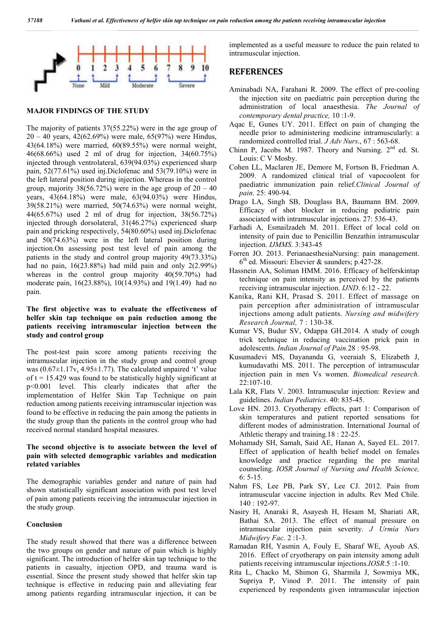

#### **MAJOR FINDINGS OF THE STUDY**

The majority of patients 37(55.22%) were in the age group of 20 – 40 years, 42(62.69%) were male, 65(97%) were Hindus, 43(64.18%) were married, 60(89.55%) were normal weight, 46(68.66%) used 2 ml of drug for injection, 34(60.75%) injected through ventrolateral, 639(94.03%) experienced sharp pain, 52(77.61%) used inj.Diclofenac and 53(79.10%) were in the left lateral position during injection. Whereas in the control group, majority  $38(56.72%)$  were in the age group of  $20 - 40$ years, 43(64.18%) were male, 63(94.03%) were Hindus, 39(58.21%) were married, 50(74.63%) were normal weight, 44(65.67%) used 2 ml of drug for injection, 38(56.72%) injected through dorsolateral, 31(46.27%) experienced sharp pain and pricking respectively, 54(80.60%) used inj.Diclofenac and 50(74.63%) were in the left lateral position during injection.On assessing post test level of pain among the patients in the study and control group majority 49(73.33%) had no pain, 16(23.88%) had mild pain and only 2(2.99%) whereas in the control group majority 40(59.70%) had moderate pain, 16(23.88%), 10(14.93%) and 19(1.49) had no pain.

## **The first objective was to evaluate the effectiveness of helfer skin tap technique on pain reduction among the patients receiving intramuscular injection between the study and control group**

The post-test pain score among patients receiving the intramuscular injection in the study group and control group was  $(0.67\pm1.17v_s 4.95\pm1.77)$ . The calculated unpaired 't' value of  $t = 15.429$  was found to be statistically highly significant at p<0.001 level. This clearly indicates that after the implementation of Helfer Skin Tap Technique on pain reduction among patients receiving intramuscular injection was found to be effective in reducing the pain among the patients in the study group than the patients in the control group who had received normal standard hospital measures.

## **The second objective is to associate between the level of pain with selected demographic variables and medication related variables**

The demographic variables gender and nature of pain had shown statistically significant association with post test level of pain among patients receiving the intramuscular injection in the study group.

## **Conclusion**

The study result showed that there was a difference between the two groups on gender and nature of pain which is highly significant. The introduction of helfer skin tap technique to the patients in casualty, injection OPD, and trauma ward is essential. Since the present study showed that helfer skin tap technique is effective in reducing pain and alleviating fear among patients regarding intramuscular injection, it can be

implemented as a useful measure to reduce the pain related to intramuscular injection.

## **REFERENCES**

- Aminabadi NA, Farahani R. 2009. The effect of pre-cooling the injection site on paediatric pain perception during the administration of local anaesthesia. *The Journal of contemporary dental practice,* 10 :1-9.
- Aqac E, Gunes UY. 2011. Effect on pain of changing the needle prior to administering medicine intramuscularly: a randomized controlled trial. *J Adv Nurs*., 67 : 563-68.
- Chinn P, Jacobs M. 1987. Theory and Nursing.  $2^{nd}$  ed. St. Louis: C V Mosby.
- Cohen LL, Maclaren JE, Demore M, Fortson B, Friedman A. 2009. A randomized clinical trial of vapocoolent for paediatric immunization pain relief.*Clinical Journal of pain*. 25: 490-94.
- Drago LA, Singh SB, Douglass BA, Baumann BM. 2009. Efficacy of shot blocker in reducing pediatric pain associated with intramuscular injections. 27: 536-43.
- Farhadi A, Esmailzadeh M. 2011. Effect of local cold on intensity of pain due to Penicillin Benzathin intramuscular injection. *IJMMS*. 3:343-45
- Forren JO. 2013. PerianaesthesiaNursing: pain management.  $6<sup>th</sup>$  ed. Missouri: Elsevier & saunders; p.427-28.
- Hassnein AA, Soliman HMM. 2016. Efficacy of helferskintap technique on pain intensity as perceived by the patients receiving intramuscular injection. *IJND*. 6:12 - 22.
- Kanika, Rani KH, Prasad S. 2011. Effect of massage on pain perception after administration of intramuscular injections among adult patients. *Nursing and midwifery Research Journal,* 7 : 130-38.
- Kumar VS, Budur SV, Odappa GH.2014. A study of cough trick technique in reducing vaccination prick pain in adolescents. *Indian Journal of Pain.*28 : 95-98.
- Kusumadevi MS, Dayananda G, veeraiah S, Elizabeth J, kumudavathi MS. 2011. The perception of intramuscular injection pain in men Vs women. *Biomedical research*.  $22 \cdot 107 - 10$
- Lala KR, Flats V. 2003. Intramuscular injection: Review and guidelines. *Indian Pediatrics*. 40: 835-45.
- Love HN. 2013. Cryotherapy effects, part 1: Comparison of skin temperatures and patient reported sensations for different modes of administration. International Journal of Athletic therapy and training.18 : 22-25.
- Mohamady SH, Samah, Said AE, Hanan A, Sayed EL. 2017. Effect of application of health belief model on females knowledge and practice regarding the pre marital counseling. *IOSR Journal of Nursing and Health Science,*  6: 5-15.
- Nahm FS, Lee PB, Park SY, Lee CJ. 2012. Pain from intramuscular vaccine injection in adults. Rev Med Chile. 140 : 192-97.
- Nasiry H, Anaraki R, Asayesh H, Hesam M, Shariati AR, Bathai SA. 2013. The effect of manual pressure on intramuscular injection pain severity. *J Urmia Nurs Midwifery Fac*. 2 :1-3.
- Ramadan RH, Yasmin A, Fouly E, Sharaf WE, Ayoub AS. 2016. Effect of cryotherapy on pain intensity among adult patients receiving intramuscular injections.*IOSR*.5 :1-10.
- Rita L, Chacko M, Shimon G, Sharmila J, Sowmiya MK, Supriya P, Vinod P. 2011. The intensity of pain experienced by respondents given intramuscular injection